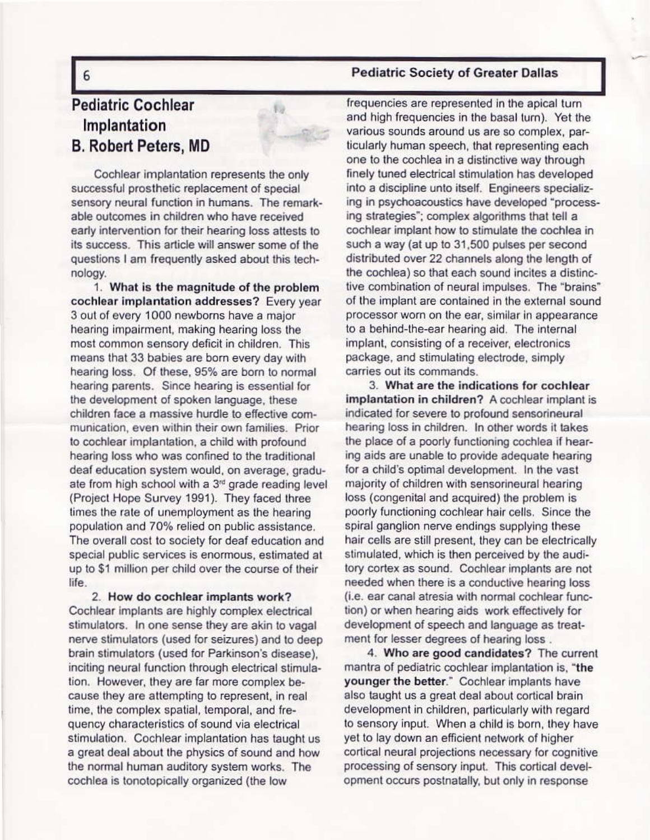## **Pediatric Society of Greater Dallas**

## **Pediatric Cochlear** Implantation **B. Robert Peters, MD**

Cochlear implantation represents the only successful prosthetic replacement of special sensory neural function in humans. The remarkable outcomes in children who have received early intervention for their hearing loss attests to its success. This article will answer some of the questions I am frequently asked about this technology.

1. What is the magnitude of the problem cochlear implantation addresses? Every year 3 out of every 1000 newborns have a major hearing impairment, making hearing loss the most common sensory deficit in children. This means that 33 babies are born every day with hearing loss. Of these, 95% are born to normal hearing parents. Since hearing is essential for the development of spoken language, these children face a massive hurdle to effective communication, even within their own families. Prior to cochlear implantation, a child with profound hearing loss who was confined to the traditional deaf education system would, on average, graduate from high school with a 3<sup>rd</sup> grade reading level (Project Hope Survey 1991). They faced three times the rate of unemployment as the hearing population and 70% relied on public assistance. The overall cost to society for deaf education and special public services is enormous, estimated at up to \$1 million per child over the course of their life.

2. How do cochlear implants work? Cochlear implants are highly complex electrical stimulators. In one sense they are akin to vagal nerve stimulators (used for seizures) and to deep brain stimulators (used for Parkinson's disease), inciting neural function through electrical stimulation. However, they are far more complex because they are attempting to represent, in real time, the complex spatial, temporal, and frequency characteristics of sound via electrical stimulation. Cochlear implantation has taught us a great deal about the physics of sound and how the normal human auditory system works. The cochlea is tonotopically organized (the low

frequencies are represented in the apical turn and high frequencies in the basal turn). Yet the various sounds around us are so complex, particularly human speech, that representing each one to the cochlea in a distinctive way through finely tuned electrical stimulation has developed into a discipline unto itself. Engineers specializing in psychoacoustics have developed "processing strategies"; complex algorithms that tell a cochlear implant how to stimulate the cochlea in such a way (at up to 31,500 pulses per second distributed over 22 channels along the length of the cochlea) so that each sound incites a distinctive combination of neural impulses. The "brains" of the implant are contained in the external sound processor worn on the ear, similar in appearance to a behind-the-ear hearing aid. The internal implant, consisting of a receiver, electronics package, and stimulating electrode, simply carries out its commands.

3. What are the indications for cochlear implantation in children? A cochlear implant is indicated for severe to profound sensorineural hearing loss in children. In other words it takes the place of a poorly functioning cochlea if hearing aids are unable to provide adequate hearing for a child's optimal development. In the vast majority of children with sensorineural hearing loss (congenital and acquired) the problem is poorly functioning cochlear hair cells. Since the spiral ganglion nerve endings supplying these hair cells are still present, they can be electrically stimulated, which is then perceived by the auditory cortex as sound. Cochlear implants are not needed when there is a conductive hearing loss (i.e. ear canal atresia with normal cochlear function) or when hearing aids work effectively for development of speech and language as treatment for lesser degrees of hearing loss.

4. Who are good candidates? The current mantra of pediatric cochlear implantation is, "the younger the better." Cochlear implants have also taught us a great deal about cortical brain development in children, particularly with regard to sensory input. When a child is born, they have yet to lay down an efficient network of higher cortical neural projections necessary for cognitive processing of sensory input. This cortical development occurs postnatally, but only in response